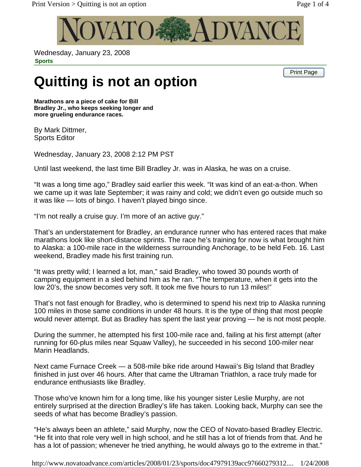

Wednesday, January 23, 2008 **Sports** 

Print Page

## **Quitting is not an option**

**Marathons are a piece of cake for Bill Bradley Jr., who keeps seeking longer and more grueling endurance races.** 

By Mark Dittmer, Sports Editor

Wednesday, January 23, 2008 2:12 PM PST

Until last weekend, the last time Bill Bradley Jr. was in Alaska, he was on a cruise.

"It was a long time ago," Bradley said earlier this week. "It was kind of an eat-a-thon. When we came up it was late September; it was rainy and cold; we didn't even go outside much so it was like — lots of bingo. I haven't played bingo since.

"I'm not really a cruise guy. I'm more of an active guy."

That's an understatement for Bradley, an endurance runner who has entered races that make marathons look like short-distance sprints. The race he's training for now is what brought him to Alaska: a 100-mile race in the wilderness surrounding Anchorage, to be held Feb. 16. Last weekend, Bradley made his first training run.

"It was pretty wild; I learned a lot, man," said Bradley, who towed 30 pounds worth of camping equipment in a sled behind him as he ran. "The temperature, when it gets into the low 20's, the snow becomes very soft. It took me five hours to run 13 miles!"

That's not fast enough for Bradley, who is determined to spend his next trip to Alaska running 100 miles in those same conditions in under 48 hours. It is the type of thing that most people would never attempt. But as Bradley has spent the last year proving — he is not most people.

During the summer, he attempted his first 100-mile race and, failing at his first attempt (after running for 60-plus miles near Squaw Valley), he succeeded in his second 100-miler near Marin Headlands.

Next came Furnace Creek — a 508-mile bike ride around Hawaii's Big Island that Bradley finished in just over 46 hours. After that came the Ultraman Triathlon, a race truly made for endurance enthusiasts like Bradley.

Those who've known him for a long time, like his younger sister Leslie Murphy, are not entirely surprised at the direction Bradley's life has taken. Looking back, Murphy can see the seeds of what has become Bradley's passion.

"He's always been an athlete," said Murphy, now the CEO of Novato-based Bradley Electric. "He fit into that role very well in high school, and he still has a lot of friends from that. And he has a lot of passion; whenever he tried anything, he would always go to the extreme in that."

http://www.novatoadvance.com/articles/2008/01/23/sports/doc47979139acc97660279312.... 1/24/2008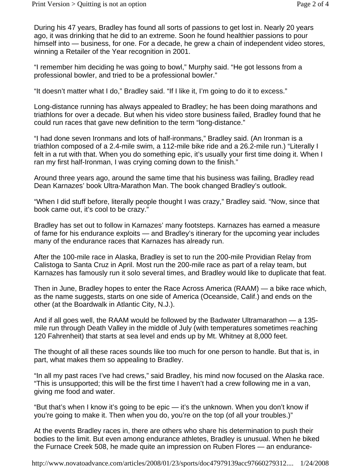During his 47 years, Bradley has found all sorts of passions to get lost in. Nearly 20 years ago, it was drinking that he did to an extreme. Soon he found healthier passions to pour himself into — business, for one. For a decade, he grew a chain of independent video stores, winning a Retailer of the Year recognition in 2001.

"I remember him deciding he was going to bowl," Murphy said. "He got lessons from a professional bowler, and tried to be a professional bowler."

"It doesn't matter what I do," Bradley said. "If I like it, I'm going to do it to excess."

Long-distance running has always appealed to Bradley; he has been doing marathons and triathlons for over a decade. But when his video store business failed, Bradley found that he could run races that gave new definition to the term "long-distance."

"I had done seven Ironmans and lots of half-ironmans," Bradley said. (An Ironman is a triathlon composed of a 2.4-mile swim, a 112-mile bike ride and a 26.2-mile run.) "Literally I felt in a rut with that. When you do something epic, it's usually your first time doing it. When I ran my first half-Ironman, I was crying coming down to the finish."

Around three years ago, around the same time that his business was failing, Bradley read Dean Karnazes' book Ultra-Marathon Man. The book changed Bradley's outlook.

"When I did stuff before, literally people thought I was crazy," Bradley said. "Now, since that book came out, it's cool to be crazy."

Bradley has set out to follow in Karnazes' many footsteps. Karnazes has earned a measure of fame for his endurance exploits — and Bradley's itinerary for the upcoming year includes many of the endurance races that Karnazes has already run.

After the 100-mile race in Alaska, Bradley is set to run the 200-mile Providian Relay from Calistoga to Santa Cruz in April. Most run the 200-mile race as part of a relay team, but Karnazes has famously run it solo several times, and Bradley would like to duplicate that feat.

Then in June, Bradley hopes to enter the Race Across America (RAAM) — a bike race which, as the name suggests, starts on one side of America (Oceanside, Calif.) and ends on the other (at the Boardwalk in Atlantic City, N.J.).

And if all goes well, the RAAM would be followed by the Badwater Ultramarathon — a 135 mile run through Death Valley in the middle of July (with temperatures sometimes reaching 120 Fahrenheit) that starts at sea level and ends up by Mt. Whitney at 8,000 feet.

The thought of all these races sounds like too much for one person to handle. But that is, in part, what makes them so appealing to Bradley.

"In all my past races I've had crews," said Bradley, his mind now focused on the Alaska race. "This is unsupported; this will be the first time I haven't had a crew following me in a van, giving me food and water.

"But that's when I know it's going to be epic — it's the unknown. When you don't know if you're going to make it. Then when you do, you're on the top (of all your troubles.)"

At the events Bradley races in, there are others who share his determination to push their bodies to the limit. But even among endurance athletes, Bradley is unusual. When he biked the Furnace Creek 508, he made quite an impression on Ruben Flores — an endurance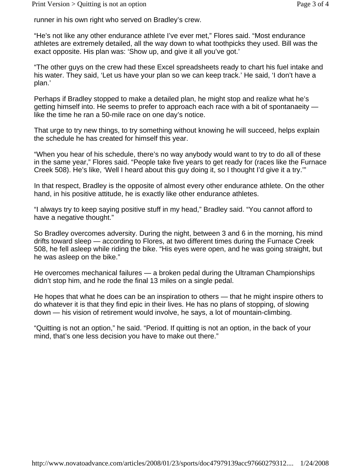runner in his own right who served on Bradley's crew.

"He's not like any other endurance athlete I've ever met," Flores said. "Most endurance athletes are extremely detailed, all the way down to what toothpicks they used. Bill was the exact opposite. His plan was: 'Show up, and give it all you've got.'

"The other guys on the crew had these Excel spreadsheets ready to chart his fuel intake and his water. They said, 'Let us have your plan so we can keep track.' He said, 'I don't have a plan.'

Perhaps if Bradley stopped to make a detailed plan, he might stop and realize what he's getting himself into. He seems to prefer to approach each race with a bit of spontanaeity like the time he ran a 50-mile race on one day's notice.

That urge to try new things, to try something without knowing he will succeed, helps explain the schedule he has created for himself this year.

"When you hear of his schedule, there's no way anybody would want to try to do all of these in the same year," Flores said. "People take five years to get ready for (races like the Furnace Creek 508). He's like, 'Well I heard about this guy doing it, so I thought I'd give it a try.'"

In that respect, Bradley is the opposite of almost every other endurance athlete. On the other hand, in his positive attitude, he is exactly like other endurance athletes.

"I always try to keep saying positive stuff in my head," Bradley said. "You cannot afford to have a negative thought."

So Bradley overcomes adversity. During the night, between 3 and 6 in the morning, his mind drifts toward sleep — according to Flores, at two different times during the Furnace Creek 508, he fell asleep while riding the bike. "His eyes were open, and he was going straight, but he was asleep on the bike."

He overcomes mechanical failures — a broken pedal during the Ultraman Championships didn't stop him, and he rode the final 13 miles on a single pedal.

He hopes that what he does can be an inspiration to others — that he might inspire others to do whatever it is that they find epic in their lives. He has no plans of stopping, of slowing down — his vision of retirement would involve, he says, a lot of mountain-climbing.

"Quitting is not an option," he said. "Period. If quitting is not an option, in the back of your mind, that's one less decision you have to make out there."